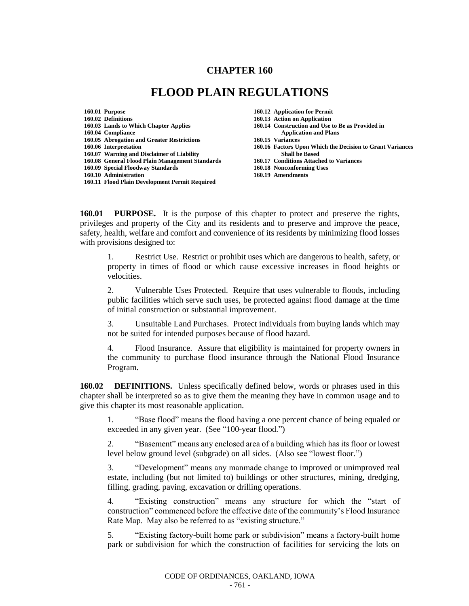## **CHAPTER 160**

## **FLOOD PLAIN REGULATIONS**

| 160.01 Purpose                                 |
|------------------------------------------------|
| 160.02 Definitions                             |
| 160.03 Lands to Which Chapter Applies          |
| 160.04 Compliance                              |
| 160.05 Abrogation and Greater Restrictions     |
| 160.06 Interpretation                          |
| 160.07 Warning and Disclaimer of Liability     |
| 160.08 General Flood Plain Management Standard |
| 160.09 Special Floodway Standards              |
| 160.10 Administration                          |
| 160.11 Flood Plain Development Permit Required |

**160.12 Application for Permit** 

- **160.13 Action on Application**
- **160.14 Construction and Use to Be as Provided in**
- **160.04 Compliance Application and Plans**
- **160.05 Abrogation and Greater Restrictions 160.15 Variances**
- **160.16 Factors Upon Which the Decision to Grant Variances 160.07 Shall be Based**
- **160.08 General Flood Plain Management Standards 160.17 Conditions Attached to Variances**
	- **160.18 Nonconforming Uses**
	- 160.19 Amendments

**160.01 PURPOSE.** It is the purpose of this chapter to protect and preserve the rights, privileges and property of the City and its residents and to preserve and improve the peace, safety, health, welfare and comfort and convenience of its residents by minimizing flood losses with provisions designed to:

1. Restrict Use. Restrict or prohibit uses which are dangerous to health, safety, or property in times of flood or which cause excessive increases in flood heights or velocities.

2. Vulnerable Uses Protected. Require that uses vulnerable to floods, including public facilities which serve such uses, be protected against flood damage at the time of initial construction or substantial improvement.

3. Unsuitable Land Purchases. Protect individuals from buying lands which may not be suited for intended purposes because of flood hazard.

4. Flood Insurance. Assure that eligibility is maintained for property owners in the community to purchase flood insurance through the National Flood Insurance Program.

**160.02 DEFINITIONS.** Unless specifically defined below, words or phrases used in this chapter shall be interpreted so as to give them the meaning they have in common usage and to give this chapter its most reasonable application.

1. "Base flood" means the flood having a one percent chance of being equaled or exceeded in any given year. (See "100-year flood.")

2. "Basement" means any enclosed area of a building which has its floor or lowest level below ground level (subgrade) on all sides. (Also see "lowest floor.")

3. "Development" means any manmade change to improved or unimproved real estate, including (but not limited to) buildings or other structures, mining, dredging, filling, grading, paving, excavation or drilling operations.

4. "Existing construction" means any structure for which the "start of construction" commenced before the effective date of the community's Flood Insurance Rate Map. May also be referred to as "existing structure."

5. "Existing factory-built home park or subdivision" means a factory-built home park or subdivision for which the construction of facilities for servicing the lots on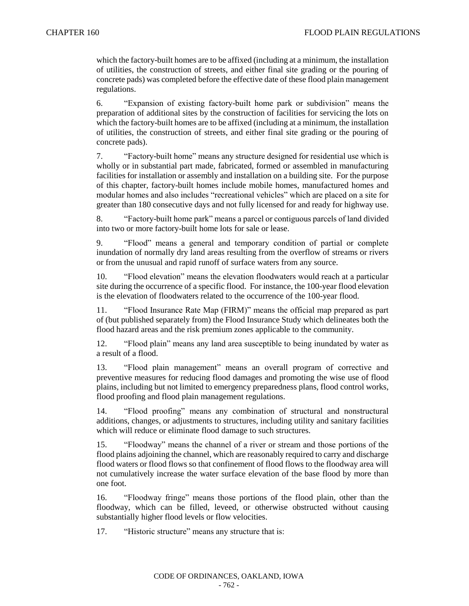which the factory-built homes are to be affixed (including at a minimum, the installation of utilities, the construction of streets, and either final site grading or the pouring of concrete pads) was completed before the effective date of these flood plain management regulations.

6. "Expansion of existing factory-built home park or subdivision" means the preparation of additional sites by the construction of facilities for servicing the lots on which the factory-built homes are to be affixed (including at a minimum, the installation of utilities, the construction of streets, and either final site grading or the pouring of concrete pads).

7. "Factory-built home" means any structure designed for residential use which is wholly or in substantial part made, fabricated, formed or assembled in manufacturing facilities for installation or assembly and installation on a building site. For the purpose of this chapter, factory-built homes include mobile homes, manufactured homes and modular homes and also includes "recreational vehicles" which are placed on a site for greater than 180 consecutive days and not fully licensed for and ready for highway use.

8. "Factory-built home park" means a parcel or contiguous parcels of land divided into two or more factory-built home lots for sale or lease.

9. "Flood" means a general and temporary condition of partial or complete inundation of normally dry land areas resulting from the overflow of streams or rivers or from the unusual and rapid runoff of surface waters from any source.

10. "Flood elevation" means the elevation floodwaters would reach at a particular site during the occurrence of a specific flood. For instance, the 100-year flood elevation is the elevation of floodwaters related to the occurrence of the 100-year flood.

11. "Flood Insurance Rate Map (FIRM)" means the official map prepared as part of (but published separately from) the Flood Insurance Study which delineates both the flood hazard areas and the risk premium zones applicable to the community.

12. "Flood plain" means any land area susceptible to being inundated by water as a result of a flood.

13. "Flood plain management" means an overall program of corrective and preventive measures for reducing flood damages and promoting the wise use of flood plains, including but not limited to emergency preparedness plans, flood control works, flood proofing and flood plain management regulations.

14. "Flood proofing" means any combination of structural and nonstructural additions, changes, or adjustments to structures, including utility and sanitary facilities which will reduce or eliminate flood damage to such structures.

15. "Floodway" means the channel of a river or stream and those portions of the flood plains adjoining the channel, which are reasonably required to carry and discharge flood waters or flood flows so that confinement of flood flows to the floodway area will not cumulatively increase the water surface elevation of the base flood by more than one foot.

16. "Floodway fringe" means those portions of the flood plain, other than the floodway, which can be filled, leveed, or otherwise obstructed without causing substantially higher flood levels or flow velocities.

17. "Historic structure" means any structure that is: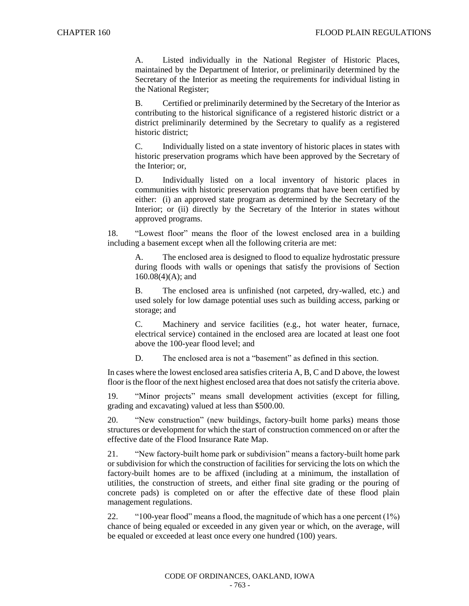A. Listed individually in the National Register of Historic Places, maintained by the Department of Interior, or preliminarily determined by the Secretary of the Interior as meeting the requirements for individual listing in the National Register;

B. Certified or preliminarily determined by the Secretary of the Interior as contributing to the historical significance of a registered historic district or a district preliminarily determined by the Secretary to qualify as a registered historic district;

C. Individually listed on a state inventory of historic places in states with historic preservation programs which have been approved by the Secretary of the Interior; or,

D. Individually listed on a local inventory of historic places in communities with historic preservation programs that have been certified by either: (i) an approved state program as determined by the Secretary of the Interior; or (ii) directly by the Secretary of the Interior in states without approved programs.

18. "Lowest floor" means the floor of the lowest enclosed area in a building including a basement except when all the following criteria are met:

A. The enclosed area is designed to flood to equalize hydrostatic pressure during floods with walls or openings that satisfy the provisions of Section 160.08(4)(A); and

B. The enclosed area is unfinished (not carpeted, dry-walled, etc.) and used solely for low damage potential uses such as building access, parking or storage; and

C. Machinery and service facilities (e.g., hot water heater, furnace, electrical service) contained in the enclosed area are located at least one foot above the 100-year flood level; and

D. The enclosed area is not a "basement" as defined in this section.

In cases where the lowest enclosed area satisfies criteria A, B, C and D above, the lowest floor is the floor of the next highest enclosed area that does not satisfy the criteria above.

19. "Minor projects" means small development activities (except for filling, grading and excavating) valued at less than \$500.00.

20. "New construction" (new buildings, factory-built home parks) means those structures or development for which the start of construction commenced on or after the effective date of the Flood Insurance Rate Map.

21. "New factory-built home park or subdivision" means a factory-built home park or subdivision for which the construction of facilities for servicing the lots on which the factory-built homes are to be affixed (including at a minimum, the installation of utilities, the construction of streets, and either final site grading or the pouring of concrete pads) is completed on or after the effective date of these flood plain management regulations.

22. "100-year flood" means a flood, the magnitude of which has a one percent (1%) chance of being equaled or exceeded in any given year or which, on the average, will be equaled or exceeded at least once every one hundred (100) years.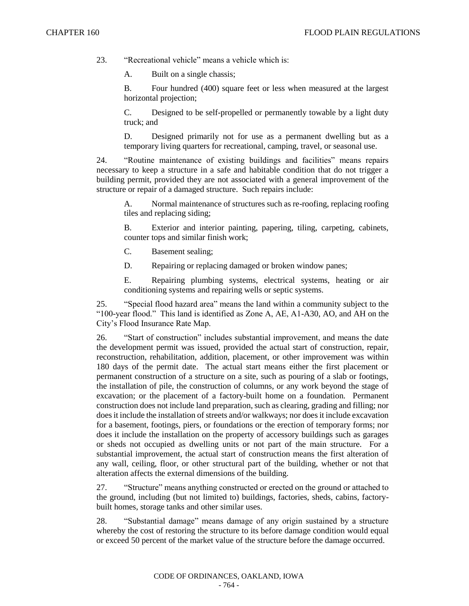23. "Recreational vehicle" means a vehicle which is:

A. Built on a single chassis;

B. Four hundred (400) square feet or less when measured at the largest horizontal projection;

C. Designed to be self-propelled or permanently towable by a light duty truck; and

D. Designed primarily not for use as a permanent dwelling but as a temporary living quarters for recreational, camping, travel, or seasonal use.

24. "Routine maintenance of existing buildings and facilities" means repairs necessary to keep a structure in a safe and habitable condition that do not trigger a building permit, provided they are not associated with a general improvement of the structure or repair of a damaged structure. Such repairs include:

A. Normal maintenance of structures such as re-roofing, replacing roofing tiles and replacing siding;

B. Exterior and interior painting, papering, tiling, carpeting, cabinets, counter tops and similar finish work;

C. Basement sealing;

D. Repairing or replacing damaged or broken window panes;

E. Repairing plumbing systems, electrical systems, heating or air conditioning systems and repairing wells or septic systems.

25. "Special flood hazard area" means the land within a community subject to the "100-year flood." This land is identified as Zone A, AE, A1-A30, AO, and AH on the City's Flood Insurance Rate Map.

26. "Start of construction" includes substantial improvement, and means the date the development permit was issued, provided the actual start of construction, repair, reconstruction, rehabilitation, addition, placement, or other improvement was within 180 days of the permit date. The actual start means either the first placement or permanent construction of a structure on a site, such as pouring of a slab or footings, the installation of pile, the construction of columns, or any work beyond the stage of excavation; or the placement of a factory-built home on a foundation. Permanent construction does not include land preparation, such as clearing, grading and filling; nor does it include the installation of streets and/or walkways; nor does it include excavation for a basement, footings, piers, or foundations or the erection of temporary forms; nor does it include the installation on the property of accessory buildings such as garages or sheds not occupied as dwelling units or not part of the main structure. For a substantial improvement, the actual start of construction means the first alteration of any wall, ceiling, floor, or other structural part of the building, whether or not that alteration affects the external dimensions of the building.

27. "Structure" means anything constructed or erected on the ground or attached to the ground, including (but not limited to) buildings, factories, sheds, cabins, factorybuilt homes, storage tanks and other similar uses.

28. "Substantial damage" means damage of any origin sustained by a structure whereby the cost of restoring the structure to its before damage condition would equal or exceed 50 percent of the market value of the structure before the damage occurred.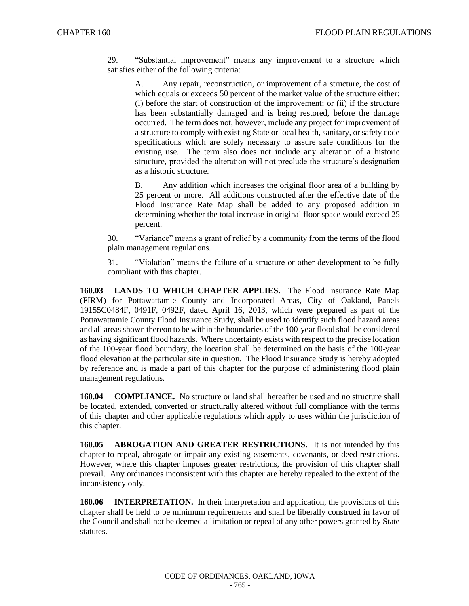29. "Substantial improvement" means any improvement to a structure which satisfies either of the following criteria:

A. Any repair, reconstruction, or improvement of a structure, the cost of which equals or exceeds 50 percent of the market value of the structure either: (i) before the start of construction of the improvement; or (ii) if the structure has been substantially damaged and is being restored, before the damage occurred. The term does not, however, include any project for improvement of a structure to comply with existing State or local health, sanitary, or safety code specifications which are solely necessary to assure safe conditions for the existing use. The term also does not include any alteration of a historic structure, provided the alteration will not preclude the structure's designation as a historic structure.

B. Any addition which increases the original floor area of a building by 25 percent or more. All additions constructed after the effective date of the Flood Insurance Rate Map shall be added to any proposed addition in determining whether the total increase in original floor space would exceed 25 percent.

30. "Variance" means a grant of relief by a community from the terms of the flood plain management regulations.

31. "Violation" means the failure of a structure or other development to be fully compliant with this chapter.

**160.03 LANDS TO WHICH CHAPTER APPLIES.** The Flood Insurance Rate Map (FIRM) for Pottawattamie County and Incorporated Areas, City of Oakland, Panels 19155C0484F, 0491F, 0492F, dated April 16, 2013, which were prepared as part of the Pottawattamie County Flood Insurance Study, shall be used to identify such flood hazard areas and all areas shown thereon to be within the boundaries of the 100-year flood shall be considered as having significant flood hazards. Where uncertainty exists with respect to the precise location of the 100-year flood boundary, the location shall be determined on the basis of the 100-year flood elevation at the particular site in question. The Flood Insurance Study is hereby adopted by reference and is made a part of this chapter for the purpose of administering flood plain management regulations.

**160.04 COMPLIANCE.** No structure or land shall hereafter be used and no structure shall be located, extended, converted or structurally altered without full compliance with the terms of this chapter and other applicable regulations which apply to uses within the jurisdiction of this chapter.

**160.05 ABROGATION AND GREATER RESTRICTIONS.** It is not intended by this chapter to repeal, abrogate or impair any existing easements, covenants, or deed restrictions. However, where this chapter imposes greater restrictions, the provision of this chapter shall prevail. Any ordinances inconsistent with this chapter are hereby repealed to the extent of the inconsistency only.

**160.06 INTERPRETATION.** In their interpretation and application, the provisions of this chapter shall be held to be minimum requirements and shall be liberally construed in favor of the Council and shall not be deemed a limitation or repeal of any other powers granted by State statutes.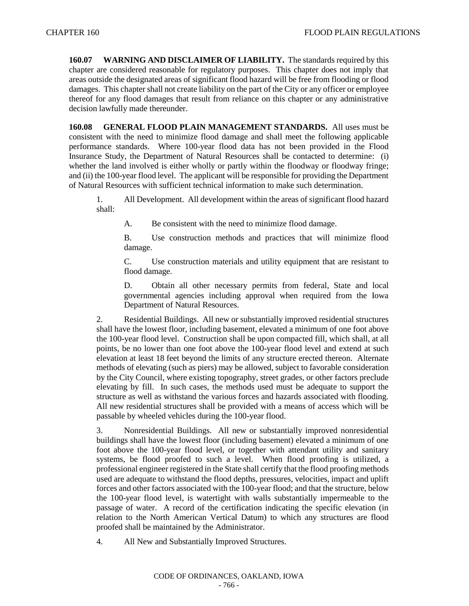**160.07 WARNING AND DISCLAIMER OF LIABILITY.** The standards required by this chapter are considered reasonable for regulatory purposes. This chapter does not imply that areas outside the designated areas of significant flood hazard will be free from flooding or flood damages. This chapter shall not create liability on the part of the City or any officer or employee thereof for any flood damages that result from reliance on this chapter or any administrative decision lawfully made thereunder.

**160.08 GENERAL FLOOD PLAIN MANAGEMENT STANDARDS.** All uses must be consistent with the need to minimize flood damage and shall meet the following applicable performance standards. Where 100-year flood data has not been provided in the Flood Insurance Study, the Department of Natural Resources shall be contacted to determine: (i) whether the land involved is either wholly or partly within the floodway or floodway fringe; and (ii) the 100-year flood level. The applicant will be responsible for providing the Department of Natural Resources with sufficient technical information to make such determination.

1. All Development. All development within the areas of significant flood hazard shall:

A. Be consistent with the need to minimize flood damage.

B. Use construction methods and practices that will minimize flood damage.

C. Use construction materials and utility equipment that are resistant to flood damage.

D. Obtain all other necessary permits from federal, State and local governmental agencies including approval when required from the Iowa Department of Natural Resources.

2. Residential Buildings. All new or substantially improved residential structures shall have the lowest floor, including basement, elevated a minimum of one foot above the 100-year flood level. Construction shall be upon compacted fill, which shall, at all points, be no lower than one foot above the 100-year flood level and extend at such elevation at least 18 feet beyond the limits of any structure erected thereon. Alternate methods of elevating (such as piers) may be allowed, subject to favorable consideration by the City Council, where existing topography, street grades, or other factors preclude elevating by fill. In such cases, the methods used must be adequate to support the structure as well as withstand the various forces and hazards associated with flooding. All new residential structures shall be provided with a means of access which will be passable by wheeled vehicles during the 100-year flood.

3. Nonresidential Buildings. All new or substantially improved nonresidential buildings shall have the lowest floor (including basement) elevated a minimum of one foot above the 100-year flood level, or together with attendant utility and sanitary systems, be flood proofed to such a level. When flood proofing is utilized, a professional engineer registered in the State shall certify that the flood proofing methods used are adequate to withstand the flood depths, pressures, velocities, impact and uplift forces and other factors associated with the 100-year flood; and that the structure, below the 100-year flood level, is watertight with walls substantially impermeable to the passage of water. A record of the certification indicating the specific elevation (in relation to the North American Vertical Datum) to which any structures are flood proofed shall be maintained by the Administrator.

4. All New and Substantially Improved Structures.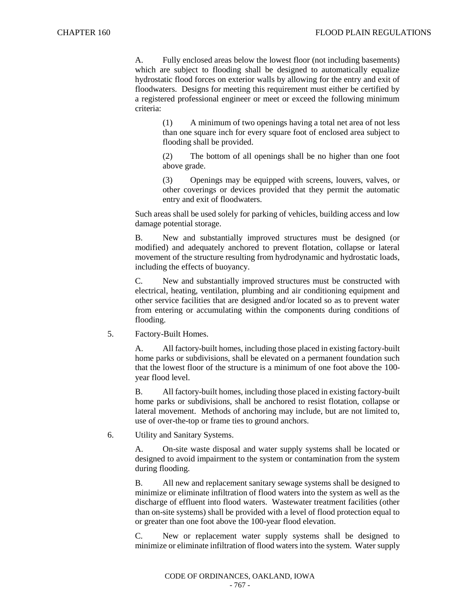A. Fully enclosed areas below the lowest floor (not including basements) which are subject to flooding shall be designed to automatically equalize hydrostatic flood forces on exterior walls by allowing for the entry and exit of floodwaters. Designs for meeting this requirement must either be certified by a registered professional engineer or meet or exceed the following minimum criteria:

> (1) A minimum of two openings having a total net area of not less than one square inch for every square foot of enclosed area subject to flooding shall be provided.

> (2) The bottom of all openings shall be no higher than one foot above grade.

> (3) Openings may be equipped with screens, louvers, valves, or other coverings or devices provided that they permit the automatic entry and exit of floodwaters.

Such areas shall be used solely for parking of vehicles, building access and low damage potential storage.

B. New and substantially improved structures must be designed (or modified) and adequately anchored to prevent flotation, collapse or lateral movement of the structure resulting from hydrodynamic and hydrostatic loads, including the effects of buoyancy.

C. New and substantially improved structures must be constructed with electrical, heating, ventilation, plumbing and air conditioning equipment and other service facilities that are designed and/or located so as to prevent water from entering or accumulating within the components during conditions of flooding.

5. Factory-Built Homes.

A. All factory-built homes, including those placed in existing factory-built home parks or subdivisions, shall be elevated on a permanent foundation such that the lowest floor of the structure is a minimum of one foot above the 100 year flood level.

B. All factory-built homes, including those placed in existing factory-built home parks or subdivisions, shall be anchored to resist flotation, collapse or lateral movement. Methods of anchoring may include, but are not limited to, use of over-the-top or frame ties to ground anchors.

6. Utility and Sanitary Systems.

A. On-site waste disposal and water supply systems shall be located or designed to avoid impairment to the system or contamination from the system during flooding.

B. All new and replacement sanitary sewage systems shall be designed to minimize or eliminate infiltration of flood waters into the system as well as the discharge of effluent into flood waters. Wastewater treatment facilities (other than on-site systems) shall be provided with a level of flood protection equal to or greater than one foot above the 100-year flood elevation.

C. New or replacement water supply systems shall be designed to minimize or eliminate infiltration of flood waters into the system. Water supply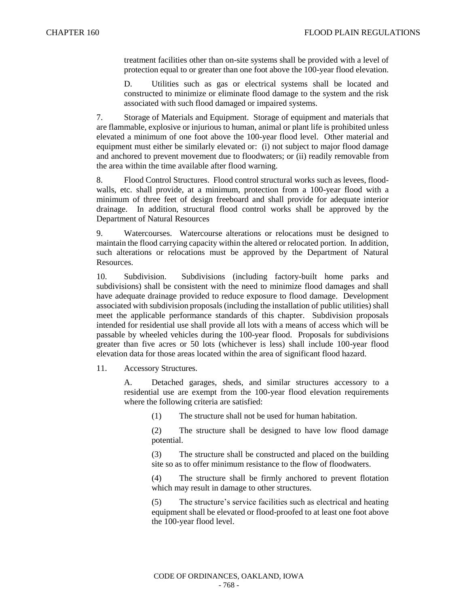treatment facilities other than on-site systems shall be provided with a level of protection equal to or greater than one foot above the 100-year flood elevation.

D. Utilities such as gas or electrical systems shall be located and constructed to minimize or eliminate flood damage to the system and the risk associated with such flood damaged or impaired systems.

7. Storage of Materials and Equipment. Storage of equipment and materials that are flammable, explosive or injurious to human, animal or plant life is prohibited unless elevated a minimum of one foot above the 100-year flood level. Other material and equipment must either be similarly elevated or: (i) not subject to major flood damage and anchored to prevent movement due to floodwaters; or (ii) readily removable from the area within the time available after flood warning.

8. Flood Control Structures. Flood control structural works such as levees, floodwalls, etc. shall provide, at a minimum, protection from a 100-year flood with a minimum of three feet of design freeboard and shall provide for adequate interior drainage. In addition, structural flood control works shall be approved by the Department of Natural Resources

9. Watercourses. Watercourse alterations or relocations must be designed to maintain the flood carrying capacity within the altered or relocated portion. In addition, such alterations or relocations must be approved by the Department of Natural Resources.

10. Subdivision. Subdivisions (including factory-built home parks and subdivisions) shall be consistent with the need to minimize flood damages and shall have adequate drainage provided to reduce exposure to flood damage. Development associated with subdivision proposals (including the installation of public utilities) shall meet the applicable performance standards of this chapter. Subdivision proposals intended for residential use shall provide all lots with a means of access which will be passable by wheeled vehicles during the 100-year flood. Proposals for subdivisions greater than five acres or 50 lots (whichever is less) shall include 100-year flood elevation data for those areas located within the area of significant flood hazard.

11. Accessory Structures.

A. Detached garages, sheds, and similar structures accessory to a residential use are exempt from the 100-year flood elevation requirements where the following criteria are satisfied:

(1) The structure shall not be used for human habitation.

(2) The structure shall be designed to have low flood damage potential.

(3) The structure shall be constructed and placed on the building site so as to offer minimum resistance to the flow of floodwaters.

(4) The structure shall be firmly anchored to prevent flotation which may result in damage to other structures.

(5) The structure's service facilities such as electrical and heating equipment shall be elevated or flood-proofed to at least one foot above the 100-year flood level.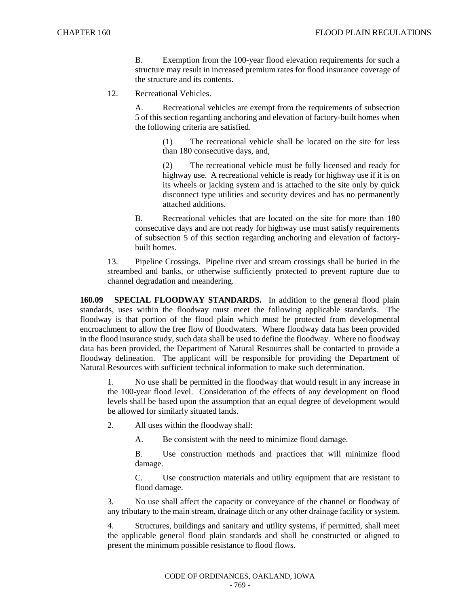B. Exemption from the 100-year flood elevation requirements for such a structure may result in increased premium rates for flood insurance coverage of the structure and its contents.

12. Recreational Vehicles.

A. Recreational vehicles are exempt from the requirements of subsection 5 of this section regarding anchoring and elevation of factory-built homes when the following criteria are satisfied.

> (1) The recreational vehicle shall be located on the site for less than 180 consecutive days, and,

> (2) The recreational vehicle must be fully licensed and ready for highway use. A recreational vehicle is ready for highway use if it is on its wheels or jacking system and is attached to the site only by quick disconnect type utilities and security devices and has no permanently attached additions.

B. Recreational vehicles that are located on the site for more than 180 consecutive days and are not ready for highway use must satisfy requirements of subsection 5 of this section regarding anchoring and elevation of factorybuilt homes.

13. Pipeline Crossings. Pipeline river and stream crossings shall be buried in the streambed and banks, or otherwise sufficiently protected to prevent rupture due to channel degradation and meandering.

**160.09 SPECIAL FLOODWAY STANDARDS.** In addition to the general flood plain standards, uses within the floodway must meet the following applicable standards. The floodway is that portion of the flood plain which must be protected from developmental encroachment to allow the free flow of floodwaters. Where floodway data has been provided in the flood insurance study, such data shall be used to define the floodway. Where no floodway data has been provided, the Department of Natural Resources shall be contacted to provide a floodway delineation. The applicant will be responsible for providing the Department of Natural Resources with sufficient technical information to make such determination.

1. No use shall be permitted in the floodway that would result in any increase in the 100-year flood level. Consideration of the effects of any development on flood levels shall be based upon the assumption that an equal degree of development would be allowed for similarly situated lands.

- 2. All uses within the floodway shall:
	- A. Be consistent with the need to minimize flood damage.

B. Use construction methods and practices that will minimize flood damage.

C. Use construction materials and utility equipment that are resistant to flood damage.

3. No use shall affect the capacity or conveyance of the channel or floodway of any tributary to the main stream, drainage ditch or any other drainage facility or system.

4. Structures, buildings and sanitary and utility systems, if permitted, shall meet the applicable general flood plain standards and shall be constructed or aligned to present the minimum possible resistance to flood flows.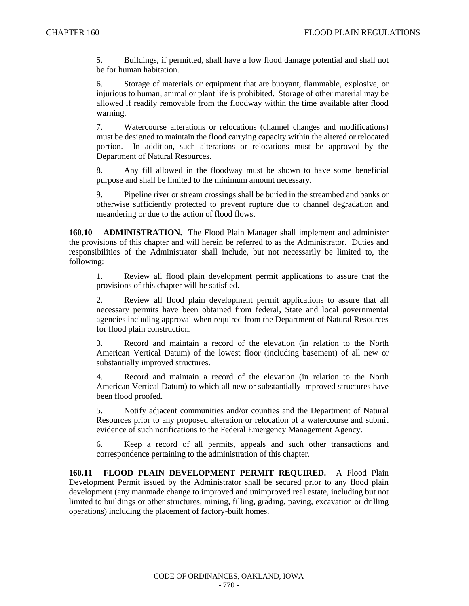5. Buildings, if permitted, shall have a low flood damage potential and shall not be for human habitation.

6. Storage of materials or equipment that are buoyant, flammable, explosive, or injurious to human, animal or plant life is prohibited. Storage of other material may be allowed if readily removable from the floodway within the time available after flood warning.

7. Watercourse alterations or relocations (channel changes and modifications) must be designed to maintain the flood carrying capacity within the altered or relocated portion. In addition, such alterations or relocations must be approved by the Department of Natural Resources.

8. Any fill allowed in the floodway must be shown to have some beneficial purpose and shall be limited to the minimum amount necessary.

9. Pipeline river or stream crossings shall be buried in the streambed and banks or otherwise sufficiently protected to prevent rupture due to channel degradation and meandering or due to the action of flood flows.

**160.10 ADMINISTRATION.** The Flood Plain Manager shall implement and administer the provisions of this chapter and will herein be referred to as the Administrator. Duties and responsibilities of the Administrator shall include, but not necessarily be limited to, the following:

1. Review all flood plain development permit applications to assure that the provisions of this chapter will be satisfied.

2. Review all flood plain development permit applications to assure that all necessary permits have been obtained from federal, State and local governmental agencies including approval when required from the Department of Natural Resources for flood plain construction.

3. Record and maintain a record of the elevation (in relation to the North American Vertical Datum) of the lowest floor (including basement) of all new or substantially improved structures.

4. Record and maintain a record of the elevation (in relation to the North American Vertical Datum) to which all new or substantially improved structures have been flood proofed.

5. Notify adjacent communities and/or counties and the Department of Natural Resources prior to any proposed alteration or relocation of a watercourse and submit evidence of such notifications to the Federal Emergency Management Agency.

6. Keep a record of all permits, appeals and such other transactions and correspondence pertaining to the administration of this chapter.

**160.11 FLOOD PLAIN DEVELOPMENT PERMIT REQUIRED.** A Flood Plain Development Permit issued by the Administrator shall be secured prior to any flood plain development (any manmade change to improved and unimproved real estate, including but not limited to buildings or other structures, mining, filling, grading, paving, excavation or drilling operations) including the placement of factory-built homes.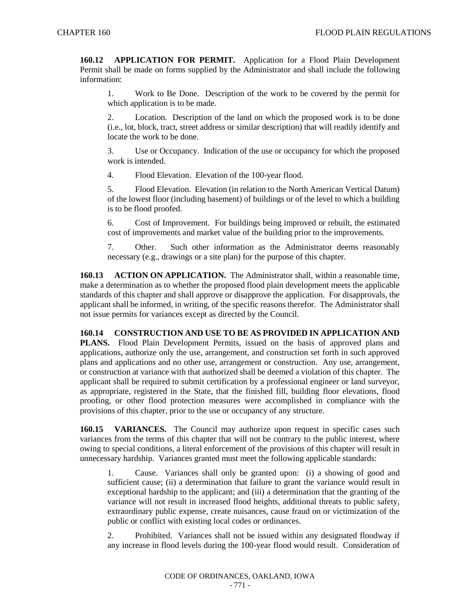**160.12 APPLICATION FOR PERMIT.** Application for a Flood Plain Development Permit shall be made on forms supplied by the Administrator and shall include the following information:

1. Work to Be Done. Description of the work to be covered by the permit for which application is to be made.

2. Location. Description of the land on which the proposed work is to be done (i.e., lot, block, tract, street address or similar description) that will readily identify and locate the work to be done.

3. Use or Occupancy. Indication of the use or occupancy for which the proposed work is intended.

4. Flood Elevation. Elevation of the 100-year flood.

5. Flood Elevation. Elevation (in relation to the North American Vertical Datum) of the lowest floor (including basement) of buildings or of the level to which a building is to be flood proofed.

6. Cost of Improvement. For buildings being improved or rebuilt, the estimated cost of improvements and market value of the building prior to the improvements.

7. Other. Such other information as the Administrator deems reasonably necessary (e.g., drawings or a site plan) for the purpose of this chapter.

**160.13 ACTION ON APPLICATION.** The Administrator shall, within a reasonable time, make a determination as to whether the proposed flood plain development meets the applicable standards of this chapter and shall approve or disapprove the application. For disapprovals, the applicant shall be informed, in writing, of the specific reasons therefor. The Administrator shall not issue permits for variances except as directed by the Council.

**160.14 CONSTRUCTION AND USE TO BE AS PROVIDED IN APPLICATION AND PLANS.** Flood Plain Development Permits, issued on the basis of approved plans and applications, authorize only the use, arrangement, and construction set forth in such approved plans and applications and no other use, arrangement or construction. Any use, arrangement, or construction at variance with that authorized shall be deemed a violation of this chapter. The applicant shall be required to submit certification by a professional engineer or land surveyor, as appropriate, registered in the State, that the finished fill, building floor elevations, flood proofing, or other flood protection measures were accomplished in compliance with the provisions of this chapter, prior to the use or occupancy of any structure.

**160.15 VARIANCES.** The Council may authorize upon request in specific cases such variances from the terms of this chapter that will not be contrary to the public interest, where owing to special conditions, a literal enforcement of the provisions of this chapter will result in unnecessary hardship. Variances granted must meet the following applicable standards:

1. Cause. Variances shall only be granted upon: (i) a showing of good and sufficient cause; (ii) a determination that failure to grant the variance would result in exceptional hardship to the applicant; and (iii) a determination that the granting of the variance will not result in increased flood heights, additional threats to public safety, extraordinary public expense, create nuisances, cause fraud on or victimization of the public or conflict with existing local codes or ordinances.

2. Prohibited. Variances shall not be issued within any designated floodway if any increase in flood levels during the 100-year flood would result. Consideration of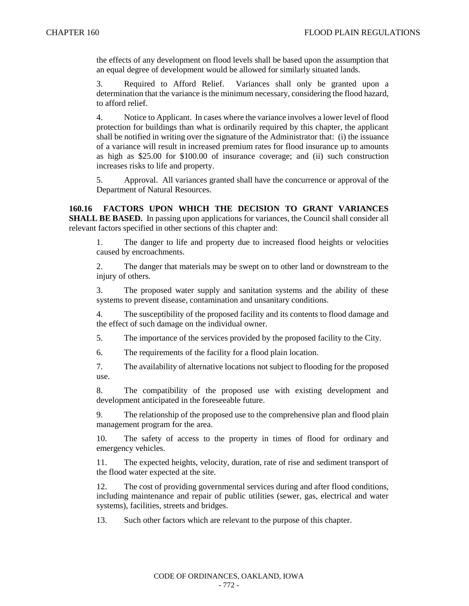the effects of any development on flood levels shall be based upon the assumption that an equal degree of development would be allowed for similarly situated lands.

3. Required to Afford Relief. Variances shall only be granted upon a determination that the variance is the minimum necessary, considering the flood hazard, to afford relief.

4. Notice to Applicant. In cases where the variance involves a lower level of flood protection for buildings than what is ordinarily required by this chapter, the applicant shall be notified in writing over the signature of the Administrator that: (i) the issuance of a variance will result in increased premium rates for flood insurance up to amounts as high as \$25.00 for \$100.00 of insurance coverage; and (ii) such construction increases risks to life and property.

5. Approval. All variances granted shall have the concurrence or approval of the Department of Natural Resources.

**160.16 FACTORS UPON WHICH THE DECISION TO GRANT VARIANCES SHALL BE BASED.** In passing upon applications for variances, the Council shall consider all relevant factors specified in other sections of this chapter and:

1. The danger to life and property due to increased flood heights or velocities caused by encroachments.

2. The danger that materials may be swept on to other land or downstream to the injury of others.

3. The proposed water supply and sanitation systems and the ability of these systems to prevent disease, contamination and unsanitary conditions.

4. The susceptibility of the proposed facility and its contents to flood damage and the effect of such damage on the individual owner.

5. The importance of the services provided by the proposed facility to the City.

6. The requirements of the facility for a flood plain location.

7. The availability of alternative locations not subject to flooding for the proposed use.

8. The compatibility of the proposed use with existing development and development anticipated in the foreseeable future.

9. The relationship of the proposed use to the comprehensive plan and flood plain management program for the area.

10. The safety of access to the property in times of flood for ordinary and emergency vehicles.

11. The expected heights, velocity, duration, rate of rise and sediment transport of the flood water expected at the site.

12. The cost of providing governmental services during and after flood conditions, including maintenance and repair of public utilities (sewer, gas, electrical and water systems), facilities, streets and bridges.

13. Such other factors which are relevant to the purpose of this chapter.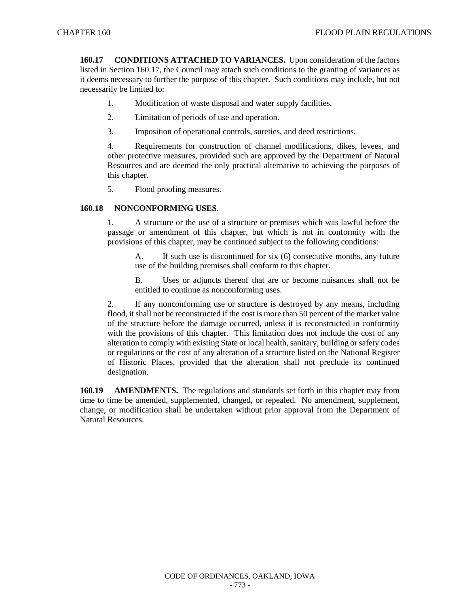**160.17 CONDITIONS ATTACHED TO VARIANCES.** Upon consideration of the factors listed in Section 160.17, the Council may attach such conditions to the granting of variances as it deems necessary to further the purpose of this chapter. Such conditions may include, but not necessarily be limited to:

- 1. Modification of waste disposal and water supply facilities.
- 2. Limitation of periods of use and operation.
- 3. Imposition of operational controls, sureties, and deed restrictions.

4. Requirements for construction of channel modifications, dikes, levees, and other protective measures, provided such are approved by the Department of Natural Resources and are deemed the only practical alternative to achieving the purposes of this chapter.

5. Flood proofing measures.

## **160.18 NONCONFORMING USES.**

1. A structure or the use of a structure or premises which was lawful before the passage or amendment of this chapter, but which is not in conformity with the provisions of this chapter, may be continued subject to the following conditions:

A. If such use is discontinued for six (6) consecutive months, any future use of the building premises shall conform to this chapter.

B. Uses or adjuncts thereof that are or become nuisances shall not be entitled to continue as nonconforming uses.

2. If any nonconforming use or structure is destroyed by any means, including flood, it shall not be reconstructed if the cost is more than 50 percent of the market value of the structure before the damage occurred, unless it is reconstructed in conformity with the provisions of this chapter. This limitation does not include the cost of any alteration to comply with existing State or local health, sanitary, building or safety codes or regulations or the cost of any alteration of a structure listed on the National Register of Historic Places, provided that the alteration shall not preclude its continued designation.

**160.19 AMENDMENTS.** The regulations and standards set forth in this chapter may from time to time be amended, supplemented, changed, or repealed. No amendment, supplement, change, or modification shall be undertaken without prior approval from the Department of Natural Resources.